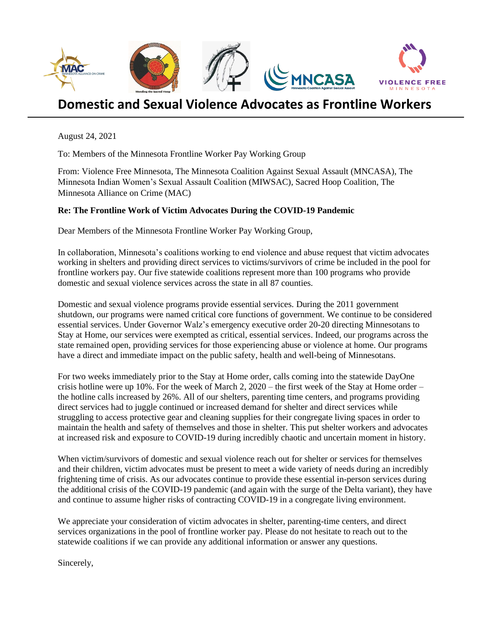

## **Domestic and Sexual Violence Advocates as Frontline Workers**

August 24, 2021

To: Members of the Minnesota Frontline Worker Pay Working Group

From: Violence Free Minnesota, The Minnesota Coalition Against Sexual Assault (MNCASA), The Minnesota Indian Women's Sexual Assault Coalition (MIWSAC), Sacred Hoop Coalition, The Minnesota Alliance on Crime (MAC)

## **Re: The Frontline Work of Victim Advocates During the COVID-19 Pandemic**

Dear Members of the Minnesota Frontline Worker Pay Working Group,

In collaboration, Minnesota's coalitions working to end violence and abuse request that victim advocates working in shelters and providing direct services to victims/survivors of crime be included in the pool for frontline workers pay. Our five statewide coalitions represent more than 100 programs who provide domestic and sexual violence services across the state in all 87 counties.

Domestic and sexual violence programs provide essential services. During the 2011 government shutdown, our programs were named critical core functions of government. We continue to be considered essential services. Under Governor Walz's emergency executive order 20-20 directing Minnesotans to Stay at Home, our services were exempted as critical, essential services. Indeed, our programs across the state remained open, providing services for those experiencing abuse or violence at home. Our programs have a direct and immediate impact on the public safety, health and well-being of Minnesotans.

For two weeks immediately prior to the Stay at Home order, calls coming into the statewide DayOne crisis hotline were up  $10\%$ . For the week of March 2,  $2020$  – the first week of the Stay at Home order – the hotline calls increased by 26%. All of our shelters, parenting time centers, and programs providing direct services had to juggle continued or increased demand for shelter and direct services while struggling to access protective gear and cleaning supplies for their congregate living spaces in order to maintain the health and safety of themselves and those in shelter. This put shelter workers and advocates at increased risk and exposure to COVID-19 during incredibly chaotic and uncertain moment in history.

When victim/survivors of domestic and sexual violence reach out for shelter or services for themselves and their children, victim advocates must be present to meet a wide variety of needs during an incredibly frightening time of crisis. As our advocates continue to provide these essential in-person services during the additional crisis of the COVID-19 pandemic (and again with the surge of the Delta variant), they have and continue to assume higher risks of contracting COVID-19 in a congregate living environment.

We appreciate your consideration of victim advocates in shelter, parenting-time centers, and direct services organizations in the pool of frontline worker pay. Please do not hesitate to reach out to the statewide coalitions if we can provide any additional information or answer any questions.

Sincerely,